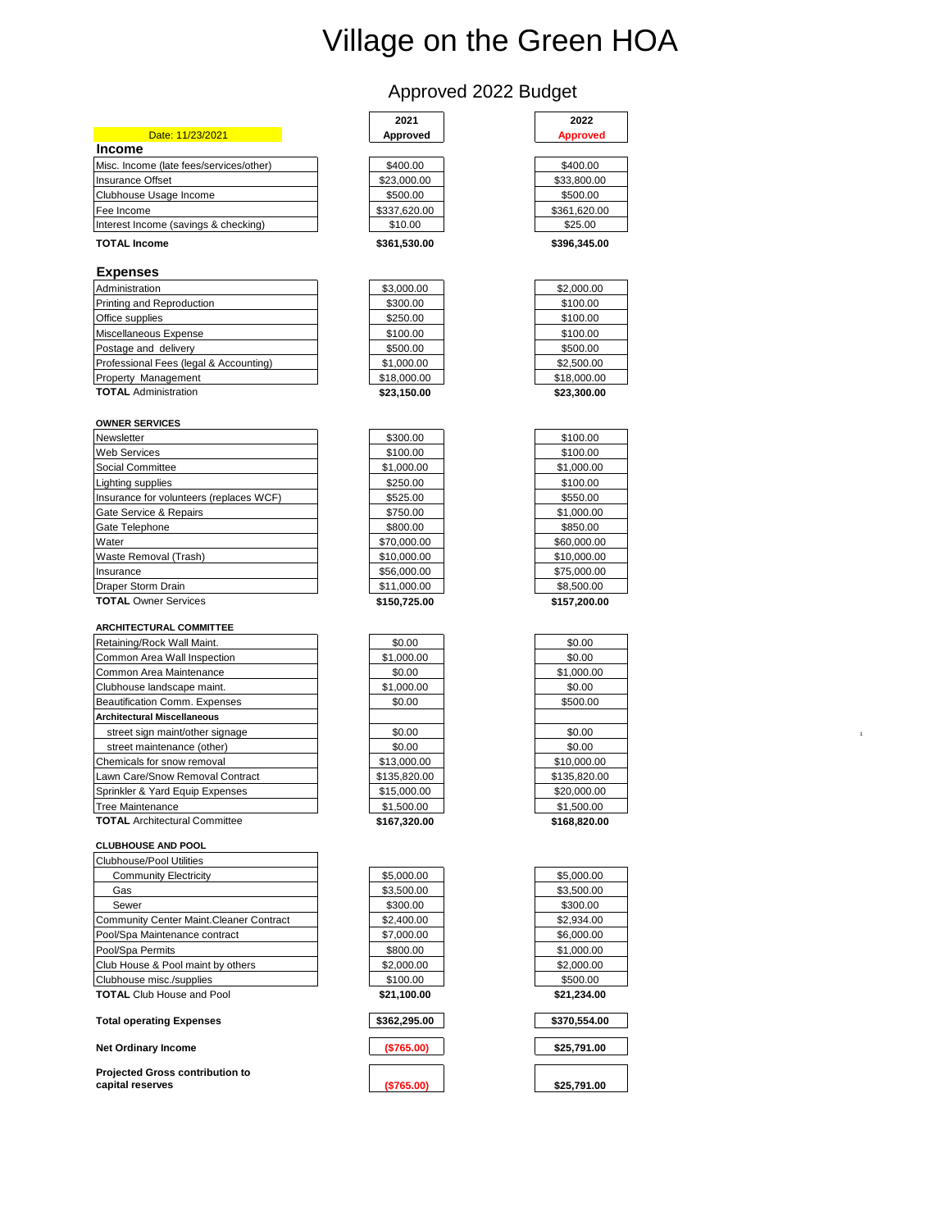# Village on the Green HOA

# Approved 2022 Budget

| Date: 11/23/2021                        | Approved     | Approved     |
|-----------------------------------------|--------------|--------------|
| <b>Income</b>                           |              |              |
| Misc. Income (late fees/services/other) | \$400.00     | \$400.00     |
| Insurance Offset                        | \$23,000.00  | \$33,800.00  |
| Clubhouse Usage Income                  | \$500.00     | \$500.00     |
| Fee Income                              | \$337,620.00 | \$361,620.00 |
| Interest Income (savings & checking)    | \$10.00      | \$25.00      |

## **TOTAL Income \$361,530.00 \$396,346.00 \$396,346.00**

### **Expenses**

| Administration                         | \$3,000.00  | \$2,000.00  |
|----------------------------------------|-------------|-------------|
| Printing and Reproduction              | \$300.00    | \$100.00    |
| Office supplies                        | \$250.00    | \$100.00    |
| Miscellaneous Expense                  | \$100.00    | \$100.00    |
| Postage and delivery                   | \$500.00    | \$500.00    |
| Professional Fees (legal & Accounting) | \$1,000.00  | \$2,500.00  |
| <b>Property Management</b>             | \$18,000.00 | \$18,000.00 |
| <b>TOTAL Administration</b>            | \$23.150.00 | \$23,300.00 |

| <b>OWNER SERVICES</b>                   |             |             |
|-----------------------------------------|-------------|-------------|
| Newsletter                              | \$300.00    | \$100.00    |
| Web Services                            | \$100.00    | \$100.00    |
| Social Committee                        | \$1,000.00  | \$1,000.00  |
| Lighting supplies                       | \$250.00    | \$100.00    |
| Insurance for volunteers (replaces WCF) | \$525.00    | \$550.00    |
| Gate Service & Repairs                  | \$750.00    | \$1,000.00  |
| Gate Telephone                          | \$800.00    | \$850.00    |
| Water                                   | \$70,000.00 | \$60,000.00 |
| Waste Removal (Trash)                   | \$10,000.00 | \$10,000.00 |
| Insurance                               | \$56,000.00 | \$75,000.00 |
| Draper Storm Drain                      | \$11,000.00 | \$8,500.00  |
|                                         |             |             |

## **TOTAL** Owner Services **\$150,725.00 \$157,200.00**

| <b>ARCHITECTURAL COMMITTEE</b>       |              |              |
|--------------------------------------|--------------|--------------|
| Retaining/Rock Wall Maint.           | \$0.00       | \$0.00       |
| Common Area Wall Inspection          | \$1,000.00   | \$0.00       |
| Common Area Maintenance              | \$0.00       | \$1,000.00   |
| Clubhouse landscape maint.           | \$1,000.00   | \$0.00       |
| Beautification Comm. Expenses        | \$0.00       | \$500.00     |
| <b>Architectural Miscellaneous</b>   |              |              |
| street sign maint/other signage      | \$0.00       | \$0.00       |
| street maintenance (other)           | \$0.00       | \$0.00       |
| Chemicals for snow removal           | \$13,000.00  | \$10,000.00  |
| Lawn Care/Snow Removal Contract      | \$135,820,00 | \$135,820,00 |
| Sprinkler & Yard Equip Expenses      | \$15,000.00  | \$20,000.00  |
| Tree Maintenance                     | \$1,500.00   | \$1,500.00   |
| <b>TOTAL</b> Architectural Committee | \$167.320.00 | \$168,820,00 |

# **CLUBHOUSE AND POOL**

| Clubhouse/Pool Utilities                 |             |             |
|------------------------------------------|-------------|-------------|
| <b>Community Electricity</b>             | \$5,000.00  | \$5,000.00  |
| Gas                                      | \$3,500.00  | \$3,500.00  |
| Sewer                                    | \$300.00    | \$300.00    |
| Community Center Maint. Cleaner Contract | \$2,400.00  | \$2,934.00  |
| Pool/Spa Maintenance contract            | \$7,000.00  | \$6,000.00  |
| Pool/Spa Permits                         | \$800.00    | \$1,000.00  |
| Club House & Pool maint by others        | \$2,000.00  | \$2,000.00  |
| Clubhouse misc./supplies                 | \$100.00    | \$500.00    |
| <b>TOTAL Club House and Pool</b>         | \$21.100.00 | \$21.234.00 |

#### **Total operating Expenses**

**Net Ordinary Income <b>\$25,000 \$25,000 \$25,000 \$25,000 \$25,000** 

**Projected Gross contribution to capital reserves b 3765.00** 

| 2021         |  |
|--------------|--|
| Approved     |  |
|              |  |
| \$400.00     |  |
| \$23,000.00  |  |
| \$500.00     |  |
| \$337.620.00 |  |
| \$10.00      |  |
|              |  |

| 2021<br>proved | 2022<br><b>Approved</b> |
|----------------|-------------------------|
| 100.00         | \$400.00                |
| 0.000.00       | \$33,800.00             |
| 500.00         | \$500.00                |
| 7,620.00       | \$361,620.00            |
| 10.00          | \$25.00                 |
| 1.530.00       | \$396.345.00            |

| \$3,000.00  |
|-------------|
| \$300.00    |
| \$250.00    |
| \$100.00    |
| \$500.00    |
| \$1,000.00  |
| \$18,000.00 |
| \$23,150.00 |

| : J. I JU.UU |  |
|--------------|--|
|              |  |
| \$300.00     |  |
| \$100.00     |  |
| 1,000.00     |  |
| \$250.00     |  |
| \$525.00     |  |
| \$750.00     |  |
| \$800.00     |  |
| 70,000.00    |  |
| 0,000.00     |  |
| 6,000.00     |  |
| 1,000.00     |  |
|              |  |

| \$0.00       |
|--------------|
| \$1,000.00   |
| \$0.00       |
| \$1,000.00   |
| \$0.00       |
|              |
| \$0.00       |
| \$0.00       |
| \$13,000.00  |
| \$135.820.00 |
| \$15,000.00  |
| \$1,500.00   |
| \$167,320.00 |

| \$5.000.00  |
|-------------|
| \$3,500.00  |
| \$300.00    |
| \$2.400.00  |
| \$7,000.00  |
| \$800.00    |
| \$2.000.00  |
| \$100.00    |
| \$21,100.00 |

| \$362,295.00 |  |  |
|--------------|--|--|
|              |  |  |



| \$5.000.00  |  |
|-------------|--|
| \$3.500.00  |  |
| \$300.00    |  |
| \$2,934.00  |  |
| \$6.000.00  |  |
| \$1.000.00  |  |
| \$2.000.00  |  |
| \$500.00    |  |
| \$21.234.00 |  |

| \$370,554.00 |  |
|--------------|--|
| \$25,791.00  |  |
| \$25,791.00  |  |

| \$18,000.00 |  |
|-------------|--|
| \$23,300.00 |  |
|             |  |
|             |  |
| \$100.00    |  |
| \$100.00    |  |
| \$1,000.00  |  |
| \$100.00    |  |
| \$550.00    |  |
| \$1,000.00  |  |
| \$850.00    |  |
| \$60,000.00 |  |
| \$10,000.00 |  |
| \$75,000.00 |  |
| \$8.500.00  |  |

| \$0.00       |  |
|--------------|--|
| \$0.00       |  |
| \$1,000.00   |  |
| \$0.00       |  |
| \$500.00     |  |
|              |  |
| \$0.00       |  |
| \$0.00       |  |
| \$10,000.00  |  |
| \$135.820.00 |  |
| \$20.000.00  |  |
| \$1.500.00   |  |
| \$168.820.00 |  |
|              |  |

| \$21,234.00 |
|-------------|
| \$500.00    |
| \$2.000.00  |
| \$1.000.00  |
| \$6.000.00  |
| \$2,934.00  |
| \$300.00    |
| \$3,500.00  |
| \$5.000.00  |